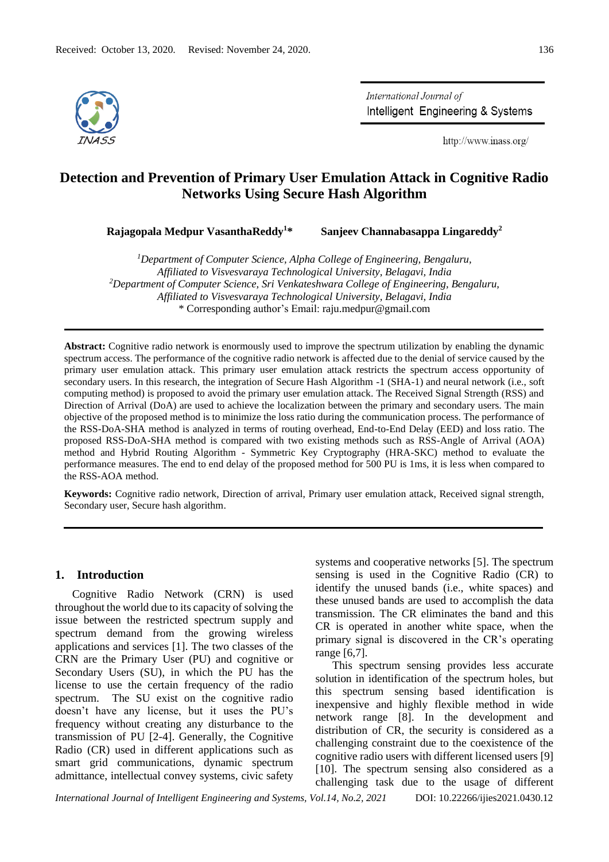

International Journal of Intelligent Engineering & Systems

http://www.inass.org/

# **Detection and Prevention of Primary User Emulation Attack in Cognitive Radio Networks Using Secure Hash Algorithm**

**Rajagopala Medpur VasanthaReddy<sup>1</sup>\* Sanjeev Channabasappa Lingareddy<sup>2</sup>**

*<sup>1</sup>Department of Computer Science, Alpha College of Engineering, Bengaluru, Affiliated to Visvesvaraya Technological University, Belagavi, India <sup>2</sup>Department of Computer Science, Sri Venkateshwara College of Engineering, Bengaluru, Affiliated to Visvesvaraya Technological University, Belagavi, India* \* Corresponding author's Email: raju.medpur@gmail.com

**Abstract:** Cognitive radio network is enormously used to improve the spectrum utilization by enabling the dynamic spectrum access. The performance of the cognitive radio network is affected due to the denial of service caused by the primary user emulation attack. This primary user emulation attack restricts the spectrum access opportunity of secondary users. In this research, the integration of Secure Hash Algorithm -1 (SHA-1) and neural network (i.e., soft computing method) is proposed to avoid the primary user emulation attack. The Received Signal Strength (RSS) and Direction of Arrival (DoA) are used to achieve the localization between the primary and secondary users. The main objective of the proposed method is to minimize the loss ratio during the communication process. The performance of the RSS-DoA-SHA method is analyzed in terms of routing overhead, End-to-End Delay (EED) and loss ratio. The proposed RSS-DoA-SHA method is compared with two existing methods such as RSS-Angle of Arrival (AOA) method and Hybrid Routing Algorithm - Symmetric Key Cryptography (HRA-SKC) method to evaluate the performance measures. The end to end delay of the proposed method for 500 PU is 1ms, it is less when compared to the RSS-AOA method.

**Keywords:** Cognitive radio network, Direction of arrival, Primary user emulation attack, Received signal strength, Secondary user, Secure hash algorithm.

### **1. Introduction**

Cognitive Radio Network (CRN) is used throughout the world due to its capacity of solving the issue between the restricted spectrum supply and spectrum demand from the growing wireless applications and services [1]. The two classes of the CRN are the Primary User (PU) and cognitive or Secondary Users (SU), in which the PU has the license to use the certain frequency of the radio spectrum. The SU exist on the cognitive radio doesn't have any license, but it uses the PU's frequency without creating any disturbance to the transmission of PU [2-4]. Generally, the Cognitive Radio (CR) used in different applications such as smart grid communications, dynamic spectrum admittance, intellectual convey systems, civic safety

systems and cooperative networks [5]. The spectrum sensing is used in the Cognitive Radio (CR) to identify the unused bands (i.e., white spaces) and these unused bands are used to accomplish the data transmission. The CR eliminates the band and this CR is operated in another white space, when the primary signal is discovered in the CR's operating range [6,7].

This spectrum sensing provides less accurate solution in identification of the spectrum holes, but this spectrum sensing based identification is inexpensive and highly flexible method in wide network range [8]. In the development and distribution of CR, the security is considered as a challenging constraint due to the coexistence of the cognitive radio users with different licensed users [9] [10]. The spectrum sensing also considered as a challenging task due to the usage of different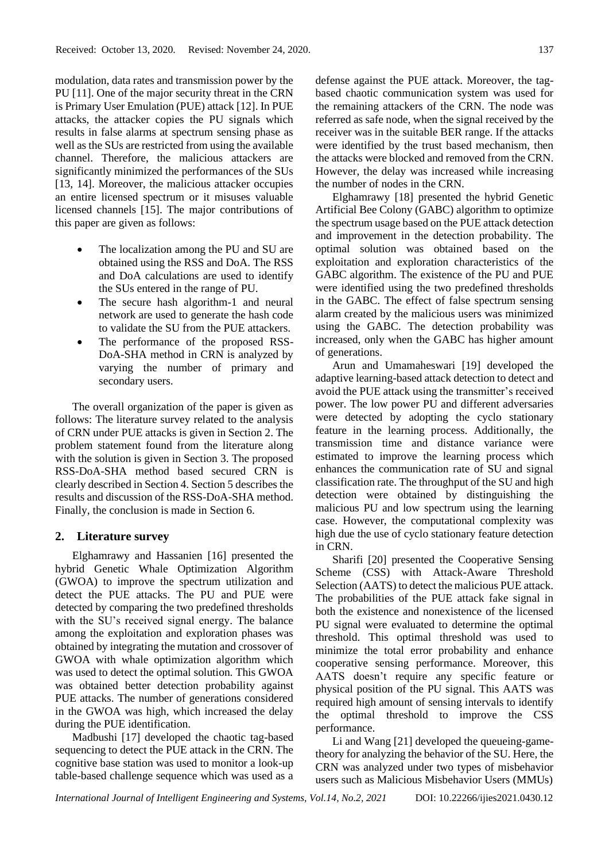modulation, data rates and transmission power by the PU [11]. One of the major security threat in the CRN is Primary User Emulation (PUE) attack [12]. In PUE attacks, the attacker copies the PU signals which results in false alarms at spectrum sensing phase as well as the SUs are restricted from using the available channel. Therefore, the malicious attackers are significantly minimized the performances of the SUs [13, 14]. Moreover, the malicious attacker occupies an entire licensed spectrum or it misuses valuable licensed channels [15]. The major contributions of this paper are given as follows:

- The localization among the PU and SU are obtained using the RSS and DoA. The RSS and DoA calculations are used to identify the SUs entered in the range of PU.
- The secure hash algorithm-1 and neural network are used to generate the hash code to validate the SU from the PUE attackers.
- The performance of the proposed RSS-DoA-SHA method in CRN is analyzed by varying the number of primary and secondary users.

The overall organization of the paper is given as follows: The literature survey related to the analysis of CRN under PUE attacks is given in Section 2. The problem statement found from the literature along with the solution is given in Section 3. The proposed RSS-DoA-SHA method based secured CRN is clearly described in Section 4. Section 5 describes the results and discussion of the RSS-DoA-SHA method. Finally, the conclusion is made in Section 6.

#### **2. Literature survey**

Elghamrawy and Hassanien [16] presented the hybrid Genetic Whale Optimization Algorithm (GWOA) to improve the spectrum utilization and detect the PUE attacks. The PU and PUE were detected by comparing the two predefined thresholds with the SU's received signal energy. The balance among the exploitation and exploration phases was obtained by integrating the mutation and crossover of GWOA with whale optimization algorithm which was used to detect the optimal solution. This GWOA was obtained better detection probability against PUE attacks. The number of generations considered in the GWOA was high, which increased the delay during the PUE identification.

Madbushi [17] developed the chaotic tag-based sequencing to detect the PUE attack in the CRN. The cognitive base station was used to monitor a look-up table-based challenge sequence which was used as a

defense against the PUE attack. Moreover, the tagbased chaotic communication system was used for the remaining attackers of the CRN. The node was referred as safe node, when the signal received by the receiver was in the suitable BER range. If the attacks were identified by the trust based mechanism, then the attacks were blocked and removed from the CRN. However, the delay was increased while increasing the number of nodes in the CRN.

Elghamrawy [18] presented the hybrid Genetic Artificial Bee Colony (GABC) algorithm to optimize the spectrum usage based on the PUE attack detection and improvement in the detection probability. The optimal solution was obtained based on the exploitation and exploration characteristics of the GABC algorithm. The existence of the PU and PUE were identified using the two predefined thresholds in the GABC. The effect of false spectrum sensing alarm created by the malicious users was minimized using the GABC. The detection probability was increased, only when the GABC has higher amount of generations.

Arun and Umamaheswari [19] developed the adaptive learning-based attack detection to detect and avoid the PUE attack using the transmitter's received power. The low power PU and different adversaries were detected by adopting the cyclo stationary feature in the learning process. Additionally, the transmission time and distance variance were estimated to improve the learning process which enhances the communication rate of SU and signal classification rate. The throughput of the SU and high detection were obtained by distinguishing the malicious PU and low spectrum using the learning case. However, the computational complexity was high due the use of cyclo stationary feature detection in CRN.

Sharifi [20] presented the Cooperative Sensing Scheme (CSS) with Attack-Aware Threshold Selection (AATS) to detect the malicious PUE attack. The probabilities of the PUE attack fake signal in both the existence and nonexistence of the licensed PU signal were evaluated to determine the optimal threshold. This optimal threshold was used to minimize the total error probability and enhance cooperative sensing performance. Moreover, this AATS doesn't require any specific feature or physical position of the PU signal. This AATS was required high amount of sensing intervals to identify the optimal threshold to improve the CSS performance.

Li and Wang [21] developed the queueing-gametheory for analyzing the behavior of the SU. Here, the CRN was analyzed under two types of misbehavior users such as Malicious Misbehavior Users (MMUs)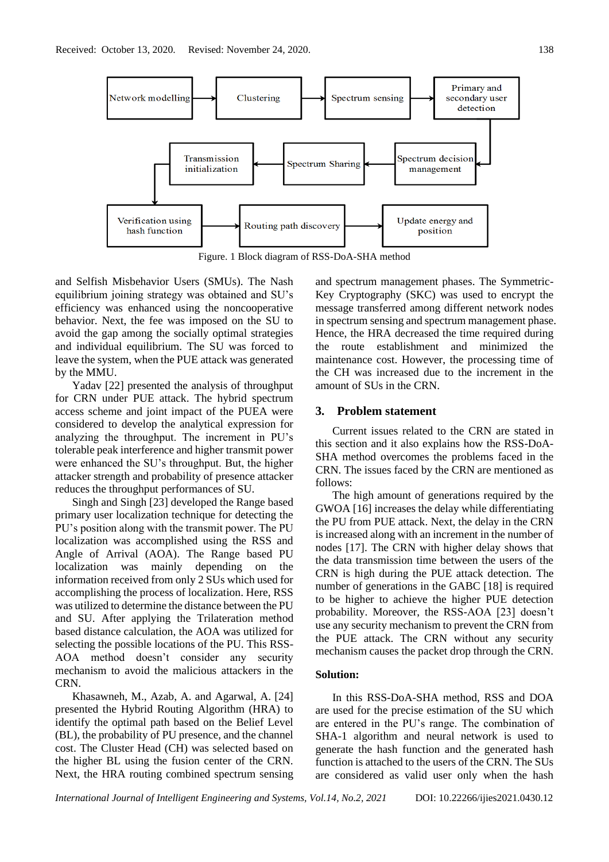

Figure. 1 Block diagram of RSS-DoA-SHA method

and Selfish Misbehavior Users (SMUs). The Nash equilibrium joining strategy was obtained and SU's efficiency was enhanced using the noncooperative behavior. Next, the fee was imposed on the SU to avoid the gap among the socially optimal strategies and individual equilibrium. The SU was forced to leave the system, when the PUE attack was generated by the MMU.

Yadav [22] presented the analysis of throughput for CRN under PUE attack. The hybrid spectrum access scheme and joint impact of the PUEA were considered to develop the analytical expression for analyzing the throughput. The increment in PU's tolerable peak interference and higher transmit power were enhanced the SU's throughput. But, the higher attacker strength and probability of presence attacker reduces the throughput performances of SU.

Singh and Singh [23] developed the Range based primary user localization technique for detecting the PU's position along with the transmit power. The PU localization was accomplished using the RSS and Angle of Arrival (AOA). The Range based PU localization was mainly depending on the information received from only 2 SUs which used for accomplishing the process of localization. Here, RSS was utilized to determine the distance between the PU and SU. After applying the Trilateration method based distance calculation, the AOA was utilized for selecting the possible locations of the PU. This RSS-AOA method doesn't consider any security mechanism to avoid the malicious attackers in the CRN.

Khasawneh, M., Azab, A. and Agarwal, A. [24] presented the Hybrid Routing Algorithm (HRA) to identify the optimal path based on the Belief Level (BL), the probability of PU presence, and the channel cost. The Cluster Head (CH) was selected based on the higher BL using the fusion center of the CRN. Next, the HRA routing combined spectrum sensing

and spectrum management phases. The Symmetric-Key Cryptography (SKC) was used to encrypt the message transferred among different network nodes in spectrum sensing and spectrum management phase. Hence, the HRA decreased the time required during the route establishment and minimized the maintenance cost. However, the processing time of the CH was increased due to the increment in the amount of SUs in the CRN.

#### **3. Problem statement**

Current issues related to the CRN are stated in this section and it also explains how the RSS-DoA-SHA method overcomes the problems faced in the CRN. The issues faced by the CRN are mentioned as follows:

The high amount of generations required by the GWOA [16] increases the delay while differentiating the PU from PUE attack. Next, the delay in the CRN is increased along with an increment in the number of nodes [17]. The CRN with higher delay shows that the data transmission time between the users of the CRN is high during the PUE attack detection. The number of generations in the GABC [18] is required to be higher to achieve the higher PUE detection probability. Moreover, the RSS-AOA [23] doesn't use any security mechanism to prevent the CRN from the PUE attack. The CRN without any security mechanism causes the packet drop through the CRN.

#### **Solution:**

In this RSS-DoA-SHA method, RSS and DOA are used for the precise estimation of the SU which are entered in the PU's range. The combination of SHA-1 algorithm and neural network is used to generate the hash function and the generated hash function is attached to the users of the CRN. The SUs are considered as valid user only when the hash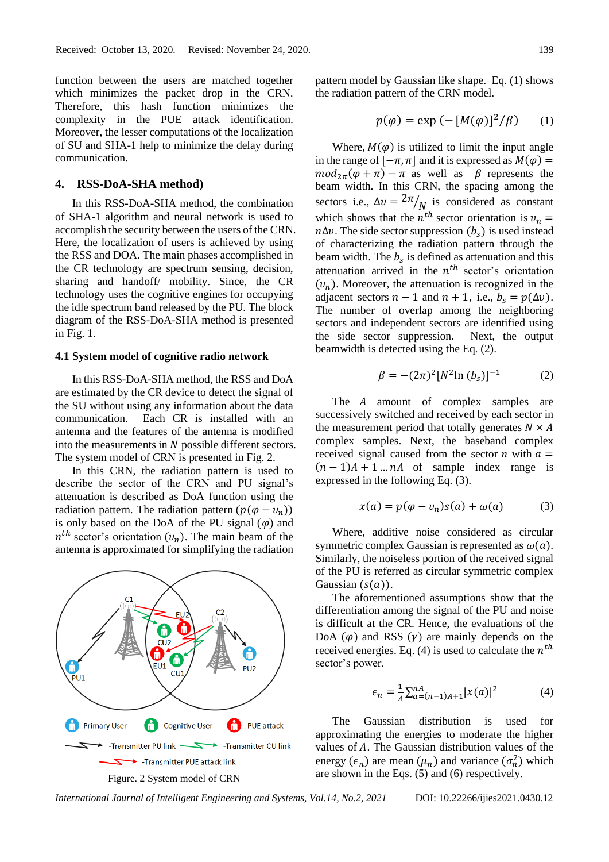function between the users are matched together which minimizes the packet drop in the CRN. Therefore, this hash function minimizes the complexity in the PUE attack identification. Moreover, the lesser computations of the localization of SU and SHA-1 help to minimize the delay during communication.

### **4. RSS-DoA-SHA method)**

In this RSS-DoA-SHA method, the combination of SHA-1 algorithm and neural network is used to accomplish the security between the users of the CRN. Here, the localization of users is achieved by using the RSS and DOA. The main phases accomplished in the CR technology are spectrum sensing, decision, sharing and handoff/ mobility. Since, the CR technology uses the cognitive engines for occupying the idle spectrum band released by the PU. The block diagram of the RSS-DoA-SHA method is presented in Fig. 1.

### **4.1 System model of cognitive radio network**

In this RSS-DoA-SHA method, the RSS and DoA are estimated by the CR device to detect the signal of the SU without using any information about the data communication. Each CR is installed with an antenna and the features of the antenna is modified into the measurements in  $N$  possible different sectors. The system model of CRN is presented in Fig. 2.

In this CRN, the radiation pattern is used to describe the sector of the CRN and PU signal's attenuation is described as DoA function using the radiation pattern. The radiation pattern  $(p(\varphi - v_n))$ is only based on the DoA of the PU signal  $(\varphi)$  and  $n^{th}$  sector's orientation  $(v_n)$ . The main beam of the antenna is approximated for simplifying the radiation



pattern model by Gaussian like shape. Eq. (1) shows the radiation pattern of the CRN model.

$$
p(\varphi) = \exp\left(-\left[M(\varphi)\right]^2/\beta\right) \qquad (1)
$$

Where,  $M(\varphi)$  is utilized to limit the input angle in the range of  $[-\pi, \pi]$  and it is expressed as  $M(\varphi) =$  $mod_{2\pi}(\varphi + \pi) - \pi$  as well as  $\beta$  represents the beam width. In this CRN, the spacing among the sectors i.e.,  $\Delta v = \frac{2\pi}{N}$  is considered as constant which shows that the  $n^{th}$  sector orientation is  $v_n =$  $n\Delta v$ . The side sector suppression  $(b_s)$  is used instead of characterizing the radiation pattern through the beam width. The  $b_s$  is defined as attenuation and this attenuation arrived in the  $n^{th}$  sector's orientation  $(v_n)$ . Moreover, the attenuation is recognized in the adjacent sectors  $n - 1$  and  $n + 1$ , i.e.,  $b_s = p(\Delta v)$ . The number of overlap among the neighboring sectors and independent sectors are identified using the side sector suppression. Next, the output beamwidth is detected using the Eq. (2).

$$
\beta = -(2\pi)^2 [N^2 \ln (b_s)]^{-1} \tag{2}
$$

The A amount of complex samples are successively switched and received by each sector in the measurement period that totally generates  $N \times A$ complex samples. Next, the baseband complex received signal caused from the sector *n* with  $a =$  $(n-1)A + 1$  … nA of sample index range is expressed in the following Eq. (3).

$$
x(a) = p(\varphi - v_n)s(a) + \omega(a) \tag{3}
$$

Where, additive noise considered as circular symmetric complex Gaussian is represented as  $\omega(a)$ . Similarly, the noiseless portion of the received signal of the PU is referred as circular symmetric complex Gaussian  $(s(a))$ .

The aforementioned assumptions show that the differentiation among the signal of the PU and noise is difficult at the CR. Hence, the evaluations of the DoA  $(\varphi)$  and RSS  $(\gamma)$  are mainly depends on the received energies. Eq. (4) is used to calculate the  $n^{th}$ sector's power.

$$
\epsilon_n = \frac{1}{A} \sum_{a=(n-1)A+1}^{nA} |x(a)|^2 \tag{4}
$$

The Gaussian distribution is used for approximating the energies to moderate the higher values of  $A$ . The Gaussian distribution values of the energy  $(\epsilon_n)$  are mean  $(\mu_n)$  and variance  $(\sigma_n^2)$  which are shown in the Eqs. (5) and (6) respectively.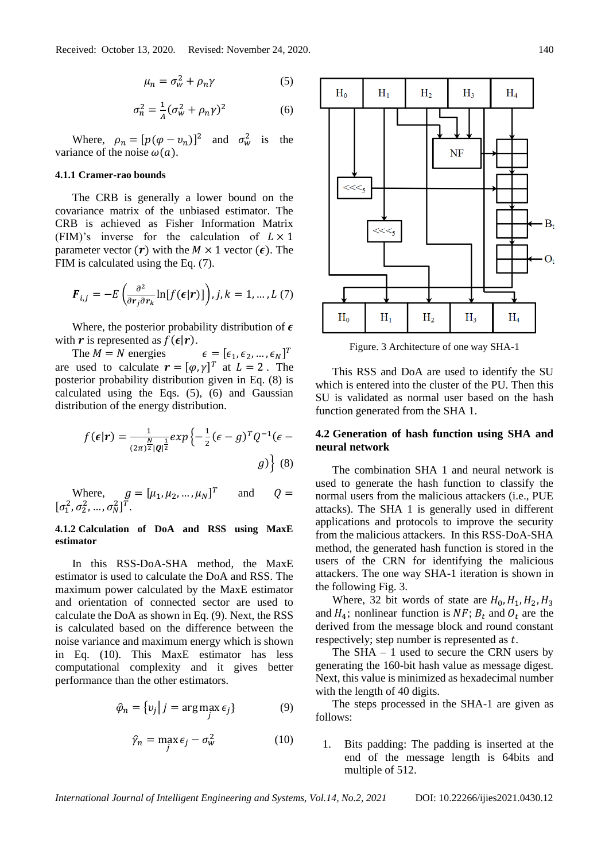$$
\mu_n = \sigma_w^2 + \rho_n \gamma \tag{5}
$$

$$
\sigma_n^2 = \frac{1}{A} (\sigma_w^2 + \rho_n \gamma)^2 \tag{6}
$$

Where,  $\rho_n = [p(\varphi - v_n)]^2$  and  $\sigma_w^2$  is the variance of the noise  $\omega(a)$ .

#### **4.1.1 Cramer-rao bounds**

The CRB is generally a lower bound on the covariance matrix of the unbiased estimator. The CRB is achieved as Fisher Information Matrix (FIM)'s inverse for the calculation of  $L \times 1$ parameter vector  $(r)$  with the  $M \times 1$  vector  $(\epsilon)$ . The FIM is calculated using the Eq. (7).

$$
\boldsymbol{F}_{i,j} = -E\left(\frac{\partial^2}{\partial r_j \partial r_k} \ln[f(\boldsymbol{\epsilon}|\boldsymbol{r})]\right), j, k = 1, ..., L \ (7)
$$

Where, the posterior probability distribution of  $\epsilon$ with r is represented as  $f(\epsilon|r)$ .

The  $M = N$  energies  $\epsilon = [\epsilon_1, \epsilon_2, ..., \epsilon_N]^T$ are used to calculate  $r = [\varphi, \gamma]^T$  at  $L = 2$ . The posterior probability distribution given in Eq. (8) is calculated using the Eqs. (5), (6) and Gaussian distribution of the energy distribution.

$$
f(\epsilon|\mathbf{r}) = \frac{1}{(2\pi)^{\frac{N}{2}}|q|^{\frac{1}{2}}} \exp\left\{-\frac{1}{2}(\epsilon - g)^{T}Q^{-1}(\epsilon - g)\right\}
$$
\n
$$
g)\Big\} (8)
$$

Where,  $g = [\mu_1, \mu_2, ..., \mu_N]^T$ and  $Q =$  $[\sigma_1^2, \sigma_2^2, \ldots, \sigma_N^2]^T.$ 

### **4.1.2 Calculation of DoA and RSS using MaxE estimator**

In this RSS-DoA-SHA method, the MaxE estimator is used to calculate the DoA and RSS. The maximum power calculated by the MaxE estimator and orientation of connected sector are used to calculate the DoA as shown in Eq. (9). Next, the RSS is calculated based on the difference between the noise variance and maximum energy which is shown in Eq. (10). This MaxE estimator has less computational complexity and it gives better performance than the other estimators.

$$
\hat{\varphi}_n = \{v_j \mid j = \arg \max_j \epsilon_j\} \tag{9}
$$

$$
\hat{\gamma}_n = \max_j \epsilon_j - \sigma_w^2 \tag{10}
$$



Figure. 3 Architecture of one way SHA-1

This RSS and DoA are used to identify the SU which is entered into the cluster of the PU. Then this SU is validated as normal user based on the hash function generated from the SHA 1.

### **4.2 Generation of hash function using SHA and neural network**

The combination SHA 1 and neural network is used to generate the hash function to classify the normal users from the malicious attackers (i.e., PUE attacks). The SHA 1 is generally used in different applications and protocols to improve the security from the malicious attackers. In this RSS-DoA-SHA method, the generated hash function is stored in the users of the CRN for identifying the malicious attackers. The one way SHA-1 iteration is shown in the following Fig. 3.

Where, 32 bit words of state are  $H_0$ ,  $H_1$ ,  $H_2$ ,  $H_3$ and  $H_4$ ; nonlinear function is  $NF$ ;  $B_t$  and  $O_t$  are the derived from the message block and round constant respectively; step number is represented as  $t$ .

The  $SHA - 1$  used to secure the CRN users by generating the 160-bit hash value as message digest. Next, this value is minimized as hexadecimal number with the length of 40 digits.

The steps processed in the SHA-1 are given as follows:

1. Bits padding: The padding is inserted at the end of the message length is 64bits and multiple of 512.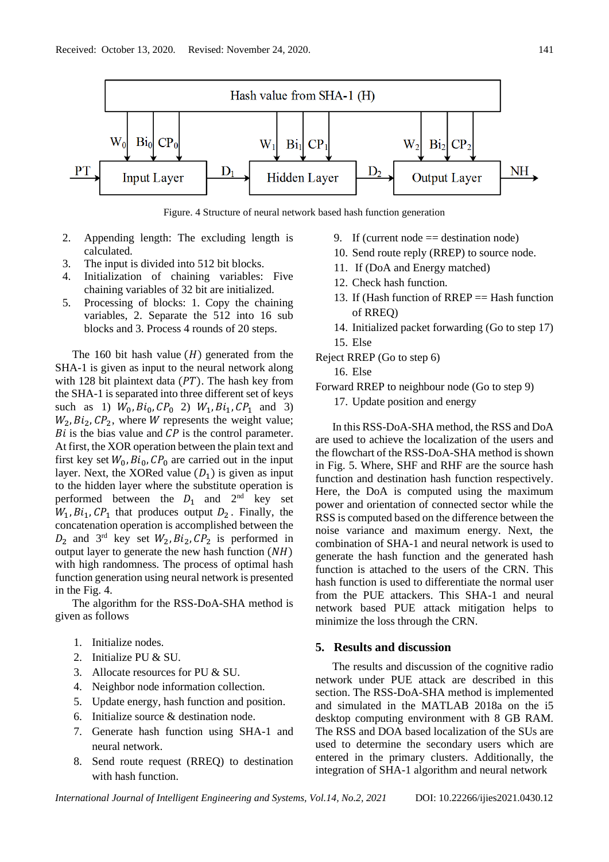

Figure. 4 Structure of neural network based hash function generation

- 2. Appending length: The excluding length is calculated.
- 3. The input is divided into 512 bit blocks.
- 4. Initialization of chaining variables: Five chaining variables of 32 bit are initialized.
- 5. Processing of blocks: 1. Copy the chaining variables, 2. Separate the 512 into 16 sub blocks and 3. Process 4 rounds of 20 steps.

The 160 bit hash value  $(H)$  generated from the SHA-1 is given as input to the neural network along with 128 bit plaintext data  $(PT)$ . The hash key from the SHA-1 is separated into three different set of keys such as 1)  $W_0$ ,  $Bi_0$ ,  $CP_0$  2)  $W_1$ ,  $Bi_1$ ,  $CP_1$  and 3)  $W_2$ ,  $Bi_2$ ,  $CP_2$ , where *W* represents the weight value;  $Bi$  is the bias value and  $CP$  is the control parameter. At first, the XOR operation between the plain text and first key set  $W_0$ ,  $Bi_0$ ,  $CP_0$  are carried out in the input layer. Next, the XORed value  $(D_1)$  is given as input to the hidden layer where the substitute operation is performed between the  $D_1$  and  $2^{nd}$  key set  $W_1, Bi_1, CP_1$  that produces output  $D_2$ . Finally, the concatenation operation is accomplished between the  $D_2$  and 3<sup>rd</sup> key set  $W_2, Bi_2, CP_2$  is performed in output layer to generate the new hash function  $(NH)$ with high randomness. The process of optimal hash function generation using neural network is presented in the Fig. 4.

The algorithm for the RSS-DoA-SHA method is given as follows

- 1. Initialize nodes.
- 2. Initialize PU & SU.
- 3. Allocate resources for PU & SU.
- 4. Neighbor node information collection.
- 5. Update energy, hash function and position.
- 6. Initialize source & destination node.
- 7. Generate hash function using SHA-1 and neural network.
- 8. Send route request (RREQ) to destination with hash function.
- 9. If (current node  $==$  destination node)
- 10. Send route reply (RREP) to source node.
- 11. If (DoA and Energy matched)
- 12. Check hash function.
- 13. If (Hash function of RREP == Hash function of RREQ)
- 14. Initialized packet forwarding (Go to step 17) 15. Else
- Reject RREP (Go to step 6)

16. Else

Forward RREP to neighbour node (Go to step 9)

17. Update position and energy

In this RSS-DoA-SHA method, the RSS and DoA are used to achieve the localization of the users and the flowchart of the RSS-DoA-SHA method is shown in Fig. 5. Where, SHF and RHF are the source hash function and destination hash function respectively. Here, the DoA is computed using the maximum power and orientation of connected sector while the RSS is computed based on the difference between the noise variance and maximum energy. Next, the combination of SHA-1 and neural network is used to generate the hash function and the generated hash function is attached to the users of the CRN. This hash function is used to differentiate the normal user from the PUE attackers. This SHA-1 and neural network based PUE attack mitigation helps to minimize the loss through the CRN.

## **5. Results and discussion**

The results and discussion of the cognitive radio network under PUE attack are described in this section. The RSS-DoA-SHA method is implemented and simulated in the MATLAB 2018a on the i5 desktop computing environment with 8 GB RAM. The RSS and DOA based localization of the SUs are used to determine the secondary users which are entered in the primary clusters. Additionally, the integration of SHA-1 algorithm and neural network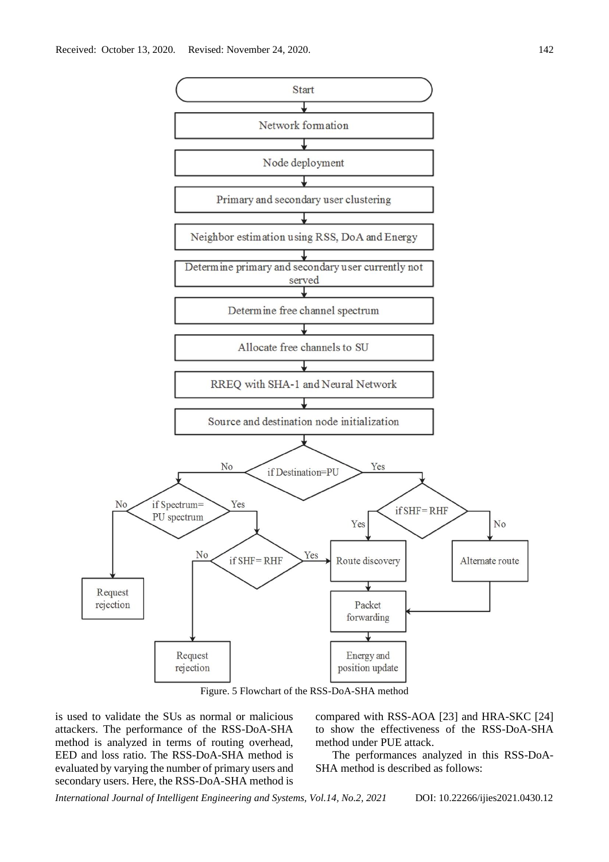

Figure. 5 Flowchart of the RSS-DoA-SHA method

is used to validate the SUs as normal or malicious attackers. The performance of the RSS-DoA-SHA method is analyzed in terms of routing overhead, EED and loss ratio. The RSS-DoA-SHA method is evaluated by varying the number of primary users and secondary users. Here, the RSS-DoA-SHA method is

compared with RSS-AOA [23] and HRA-SKC [24] to show the effectiveness of the RSS-DoA-SHA method under PUE attack.

The performances analyzed in this RSS-DoA-SHA method is described as follows: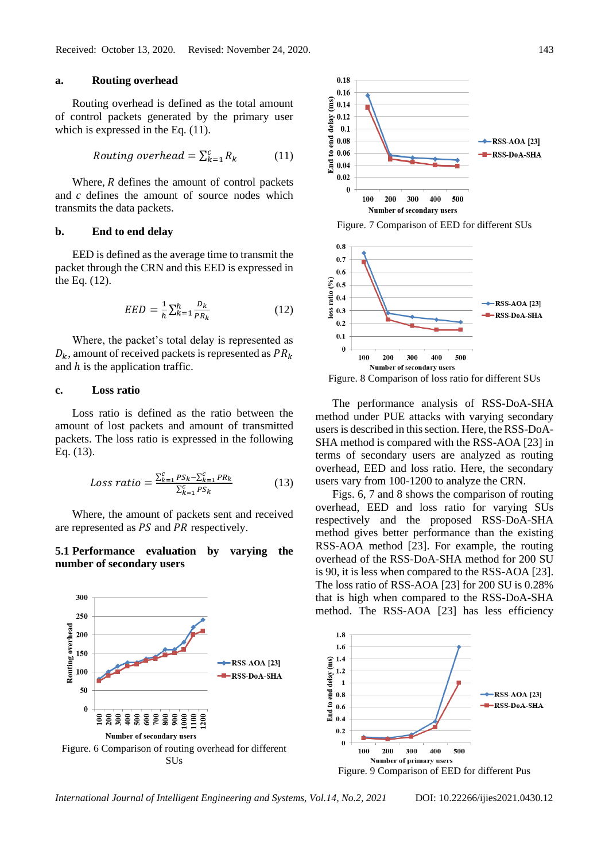### **a. Routing overhead**

Routing overhead is defined as the total amount of control packets generated by the primary user which is expressed in the Eq.  $(11)$ .

*Rotting overhead* = 
$$
\sum_{k=1}^{c} R_k
$$
 (11)

Where,  $R$  defines the amount of control packets and  $c$  defines the amount of source nodes which transmits the data packets.

#### **b. End to end delay**

EED is defined as the average time to transmit the packet through the CRN and this EED is expressed in the Eq. (12).

$$
EED = \frac{1}{h} \sum_{k=1}^{h} \frac{D_k}{PR_k} \tag{12}
$$

Where, the packet's total delay is represented as  $D_k$ , amount of received packets is represented as  $PR_k$ and  $h$  is the application traffic.

### **c. Loss ratio**

Loss ratio is defined as the ratio between the amount of lost packets and amount of transmitted packets. The loss ratio is expressed in the following Eq. (13).

Loss ratio = 
$$
\frac{\sum_{k=1}^{c} PS_{k} - \sum_{k=1}^{c} PR_{k}}{\sum_{k=1}^{c} PS_{k}}
$$
 (13)

Where, the amount of packets sent and received are represented as *PS* and *PR* respectively.

### **5.1 Performance evaluation by varying the number of secondary users**





Figure. 7 Comparison of EED for different SUs



Figure. 8 Comparison of loss ratio for different SUs

The performance analysis of RSS-DoA-SHA method under PUE attacks with varying secondary users is described in this section. Here, the RSS-DoA-SHA method is compared with the RSS-AOA [23] in terms of secondary users are analyzed as routing overhead, EED and loss ratio. Here, the secondary users vary from 100-1200 to analyze the CRN.

Figs. 6, 7 and 8 shows the comparison of routing overhead, EED and loss ratio for varying SUs respectively and the proposed RSS-DoA-SHA method gives better performance than the existing RSS-AOA method [23]. For example, the routing overhead of the RSS-DoA-SHA method for 200 SU is 90, it is less when compared to the RSS-AOA [23]. The loss ratio of RSS-AOA [23] for 200 SU is 0.28% that is high when compared to the RSS-DoA-SHA method. The RSS-AOA [23] has less efficiency



Figure. 9 Comparison of EED for different Pus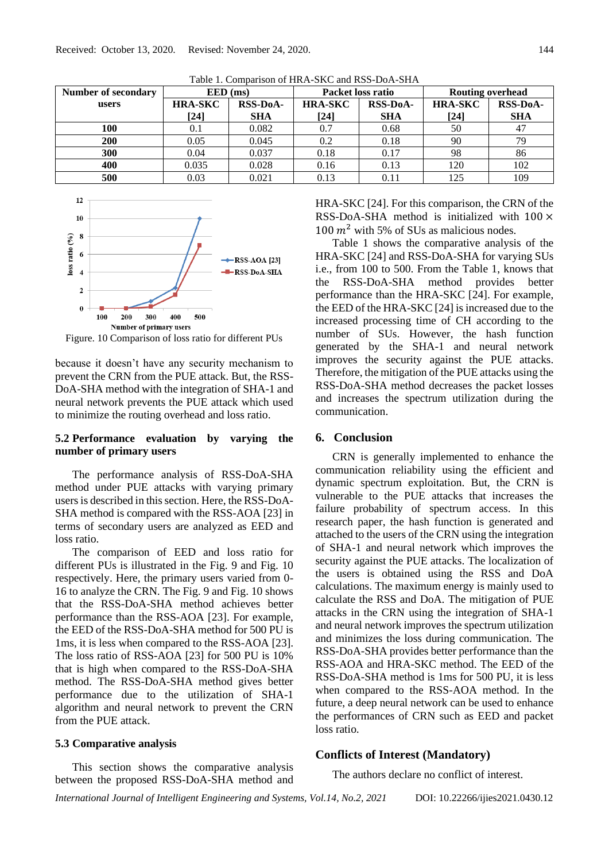| Tuble 11 Companion of the Pitty and two Doll bill I |                |                 |                   |                 |                  |                 |
|-----------------------------------------------------|----------------|-----------------|-------------------|-----------------|------------------|-----------------|
| Number of secondary                                 | $EED$ (ms)     |                 | Packet loss ratio |                 | Routing overhead |                 |
| users                                               | <b>HRA-SKC</b> | <b>RSS-DoA-</b> | <b>HRA-SKC</b>    | <b>RSS-DoA-</b> | <b>HRA-SKC</b>   | <b>RSS-DoA-</b> |
|                                                     | [24]           | <b>SHA</b>      | $[24]$            | <b>SHA</b>      | $[24]$           | <b>SHA</b>      |
| 100                                                 | 0.1            | 0.082           | 0.7               | 0.68            | 50               | 47              |
| <b>200</b>                                          | 0.05           | 0.045           | 0.2               | 0.18            | 90               | 79              |
| 300                                                 | 0.04           | 0.037           | 0.18              | 0.17            | 98               | 86              |
| 400                                                 | 0.035          | 0.028           | 0.16              | 0.13            | 120              | 102             |
| 500                                                 | 0.03           | 0.021           | 0.13              | 0.11            | 125              | 109             |

Table 1. Comparison of HRA-SKC and RSS-DoA-SHA



Figure. 10 Comparison of loss ratio for different PUs

because it doesn't have any security mechanism to prevent the CRN from the PUE attack. But, the RSS-DoA-SHA method with the integration of SHA-1 and neural network prevents the PUE attack which used to minimize the routing overhead and loss ratio.

### **5.2 Performance evaluation by varying the number of primary users**

The performance analysis of RSS-DoA-SHA method under PUE attacks with varying primary users is described in this section. Here, the RSS-DoA-SHA method is compared with the RSS-AOA [23] in terms of secondary users are analyzed as EED and loss ratio.

The comparison of EED and loss ratio for different PUs is illustrated in the Fig. 9 and Fig. 10 respectively. Here, the primary users varied from 0- 16 to analyze the CRN. The Fig. 9 and Fig. 10 shows that the RSS-DoA-SHA method achieves better performance than the RSS-AOA [23]. For example, the EED of the RSS-DoA-SHA method for 500 PU is 1ms, it is less when compared to the RSS-AOA [23]. The loss ratio of RSS-AOA [23] for 500 PU is 10% that is high when compared to the RSS-DoA-SHA method. The RSS-DoA-SHA method gives better performance due to the utilization of SHA-1 algorithm and neural network to prevent the CRN from the PUE attack.

### **5.3 Comparative analysis**

This section shows the comparative analysis between the proposed RSS-DoA-SHA method and

HRA-SKC [24]. For this comparison, the CRN of the RSS-DoA-SHA method is initialized with 100 × 100  $m^2$  with 5% of SUs as malicious nodes.

Table 1 shows the comparative analysis of the HRA-SKC [24] and RSS-DoA-SHA for varying SUs i.e., from 100 to 500. From the Table 1, knows that the RSS-DoA-SHA method provides better performance than the HRA-SKC [24]. For example, the EED of the HRA-SKC [24] is increased due to the increased processing time of CH according to the number of SUs. However, the hash function generated by the SHA-1 and neural network improves the security against the PUE attacks. Therefore, the mitigation of the PUE attacks using the RSS-DoA-SHA method decreases the packet losses and increases the spectrum utilization during the communication.

### **6. Conclusion**

CRN is generally implemented to enhance the communication reliability using the efficient and dynamic spectrum exploitation. But, the CRN is vulnerable to the PUE attacks that increases the failure probability of spectrum access. In this research paper, the hash function is generated and attached to the users of the CRN using the integration of SHA-1 and neural network which improves the security against the PUE attacks. The localization of the users is obtained using the RSS and DoA calculations. The maximum energy is mainly used to calculate the RSS and DoA. The mitigation of PUE attacks in the CRN using the integration of SHA-1 and neural network improves the spectrum utilization and minimizes the loss during communication. The RSS-DoA-SHA provides better performance than the RSS-AOA and HRA-SKC method. The EED of the RSS-DoA-SHA method is 1ms for 500 PU, it is less when compared to the RSS-AOA method. In the future, a deep neural network can be used to enhance the performances of CRN such as EED and packet loss ratio.

### **Conflicts of Interest (Mandatory)**

The authors declare no conflict of interest.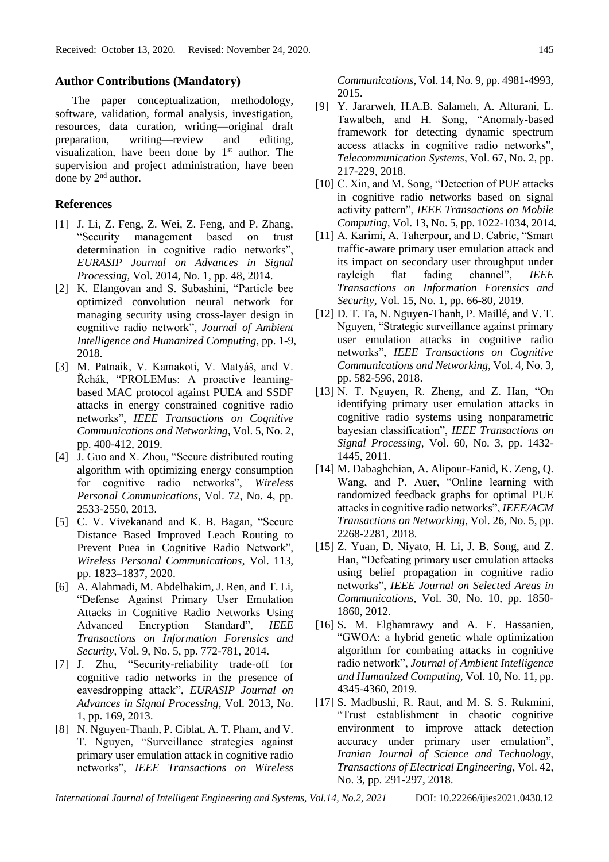### **Author Contributions (Mandatory)**

The paper conceptualization, methodology, software, validation, formal analysis, investigation, resources, data curation, writing—original draft preparation, writing—review and editing, visualization, have been done by  $1<sup>st</sup>$  author. The supervision and project administration, have been done by  $2<sup>nd</sup>$  author.

### **References**

- [1] J. Li, Z. Feng, Z. Wei, Z. Feng, and P. Zhang, "Security management based on trust determination in cognitive radio networks", *EURASIP Journal on Advances in Signal Processing*, Vol. 2014, No. 1, pp. 48, 2014.
- [2] K. Elangovan and S. Subashini, "Particle bee optimized convolution neural network for managing security using cross-layer design in cognitive radio network", *Journal of Ambient Intelligence and Humanized Computing*, pp. 1-9, 2018.
- [3] M. Patnaik, V. Kamakoti, V. Matyáš, and V. Řchák, "PROLEMus: A proactive learningbased MAC protocol against PUEA and SSDF attacks in energy constrained cognitive radio networks", *IEEE Transactions on Cognitive Communications and Networking*, Vol. 5, No. 2, pp. 400-412, 2019.
- [4] J. Guo and X. Zhou, "Secure distributed routing algorithm with optimizing energy consumption for cognitive radio networks", *Wireless Personal Communications*, Vol. 72, No. 4, pp. 2533-2550, 2013.
- [5] C. V. Vivekanand and K. B. Bagan, "Secure Distance Based Improved Leach Routing to Prevent Puea in Cognitive Radio Network", *Wireless Personal Communications*, Vol. 113, pp. 1823–1837, 2020.
- [6] A. Alahmadi, M. Abdelhakim, J. Ren, and T. Li, "Defense Against Primary User Emulation Attacks in Cognitive Radio Networks Using Advanced Encryption Standard", *IEEE Transactions on Information Forensics and Security*, Vol. 9, No. 5, pp. 772-781, 2014.
- [7] J. Zhu, "Security-reliability trade-off for cognitive radio networks in the presence of eavesdropping attack", *EURASIP Journal on Advances in Signal Processing*, Vol. 2013, No. 1, pp. 169, 2013.
- [8] N. Nguyen-Thanh, P. Ciblat, A. T. Pham, and V. T. Nguyen, "Surveillance strategies against primary user emulation attack in cognitive radio networks", *IEEE Transactions on Wireless*

*Communications*, Vol. 14, No. 9, pp. 4981-4993, 2015.

- [9] Y. Jararweh, H.A.B. Salameh, A. Alturani, L. Tawalbeh, and H. Song, "Anomaly-based framework for detecting dynamic spectrum access attacks in cognitive radio networks", *Telecommunication Systems*, Vol. 67, No. 2, pp. 217-229, 2018.
- [10] C. Xin, and M. Song, "Detection of PUE attacks in cognitive radio networks based on signal activity pattern", *IEEE Transactions on Mobile Computing*, Vol. 13, No. 5, pp. 1022-1034, 2014.
- [11] A. Karimi, A. Taherpour, and D. Cabric, "Smart traffic-aware primary user emulation attack and its impact on secondary user throughput under rayleigh flat fading channel", *IEEE Transactions on Information Forensics and Security*, Vol. 15, No. 1, pp. 66-80, 2019.
- [12] D. T. Ta, N. Nguyen-Thanh, P. Maillé, and V. T. Nguyen, "Strategic surveillance against primary user emulation attacks in cognitive radio networks", *IEEE Transactions on Cognitive Communications and Networking*, Vol. 4, No. 3, pp. 582-596, 2018.
- [13] N. T. Nguyen, R. Zheng, and Z. Han, "On identifying primary user emulation attacks in cognitive radio systems using nonparametric bayesian classification", *IEEE Transactions on Signal Processing*, Vol. 60, No. 3, pp. 1432- 1445, 2011.
- [14] M. Dabaghchian, A. Alipour-Fanid, K. Zeng, Q. Wang, and P. Auer, "Online learning with randomized feedback graphs for optimal PUE attacks in cognitive radio networks", *IEEE/ACM Transactions on Networking*, Vol. 26, No. 5, pp. 2268-2281, 2018.
- [15] Z. Yuan, D. Niyato, H. Li, J. B. Song, and Z. Han, "Defeating primary user emulation attacks using belief propagation in cognitive radio networks", *IEEE Journal on Selected Areas in Communications*, Vol. 30, No. 10, pp. 1850- 1860, 2012.
- [16] S. M. Elghamrawy and A. E. Hassanien, "GWOA: a hybrid genetic whale optimization algorithm for combating attacks in cognitive radio network", *Journal of Ambient Intelligence and Humanized Computing*, Vol. 10, No. 11, pp. 4345-4360, 2019.
- [17] S. Madbushi, R. Raut, and M. S. S. Rukmini, "Trust establishment in chaotic cognitive environment to improve attack detection accuracy under primary user emulation", *Iranian Journal of Science and Technology, Transactions of Electrical Engineering*, Vol. 42, No. 3, pp. 291-297, 2018.